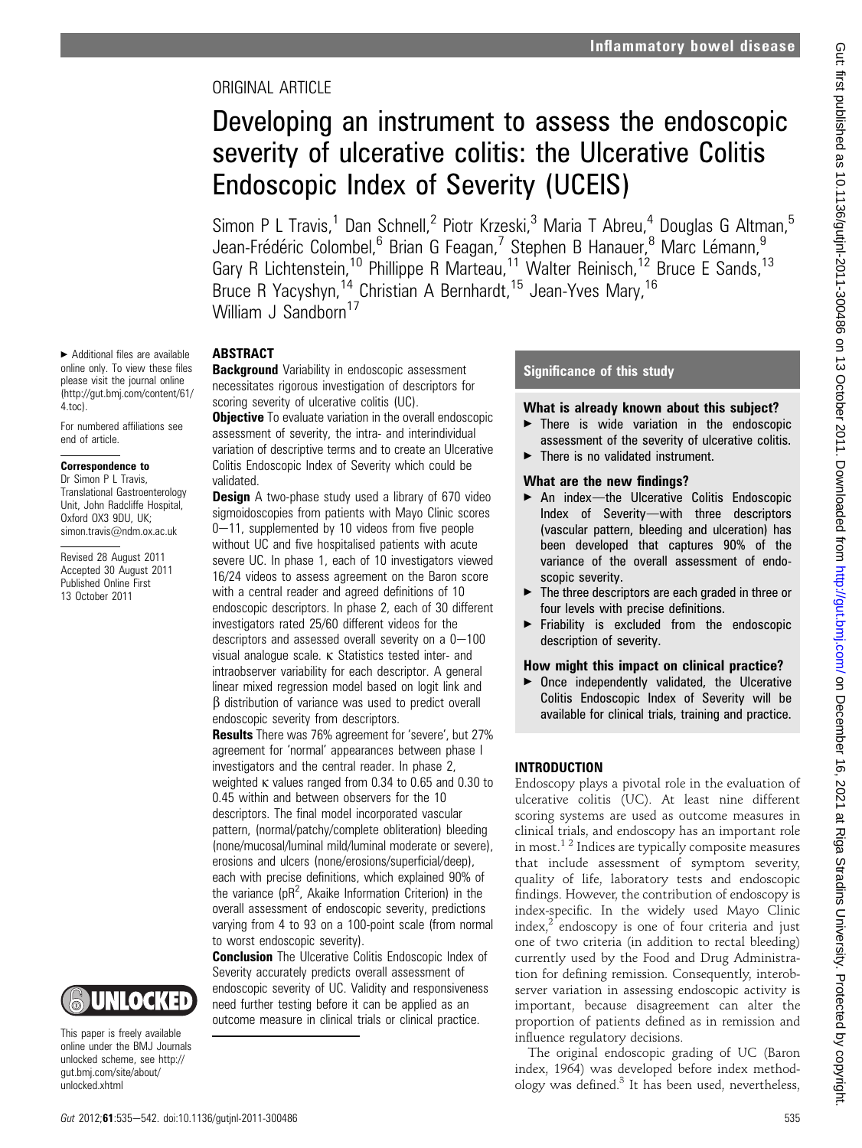# ORIGINAL ARTICLE

# Developing an instrument to assess the endoscopic severity of ulcerative colitis: the Ulcerative Colitis Endoscopic Index of Severity (UCEIS)

Simon P L Travis,<sup>1</sup> Dan Schnell,<sup>2</sup> Piotr Krzeski,<sup>3</sup> Maria T Abreu,<sup>4</sup> Douglas G Altman,<sup>5</sup> Jean-Frédéric Colombel,<sup>6</sup> Brian G Feagan,<sup>7</sup> Stephen B Hanauer,<sup>8</sup> Marc Lémann,<sup>9</sup> Gary R Lichtenstein,<sup>10</sup> Phillippe R Marteau,<sup>11</sup> Walter Reinisch,<sup>12</sup> Bruce E Sands,<sup>13</sup> Bruce R Yacyshyn,<sup>14</sup> Christian A Bernhardt,<sup>15</sup> Jean-Yves Mary,<sup>16</sup> William J Sandborn<sup>17</sup>

# **ABSTRACT**

**Background** Variability in endoscopic assessment necessitates rigorous investigation of descriptors for scoring severity of ulcerative colitis (UC).

**Objective** To evaluate variation in the overall endoscopic assessment of severity, the intra- and interindividual variation of descriptive terms and to create an Ulcerative Colitis Endoscopic Index of Severity which could be validated.

**Design** A two-phase study used a library of 670 video sigmoidoscopies from patients with Mayo Clinic scores  $0-11$ , supplemented by 10 videos from five people without UC and five hospitalised patients with acute severe UC. In phase 1, each of 10 investigators viewed 16/24 videos to assess agreement on the Baron score with a central reader and agreed definitions of 10 endoscopic descriptors. In phase 2, each of 30 different investigators rated 25/60 different videos for the descriptors and assessed overall severity on a  $0-100$ visual analogue scale.  $\kappa$  Statistics tested inter- and intraobserver variability for each descriptor. A general linear mixed regression model based on logit link and  $\beta$  distribution of variance was used to predict overall endoscopic severity from descriptors.

Results There was 76% agreement for 'severe', but 27% agreement for 'normal' appearances between phase I investigators and the central reader. In phase 2, weighted k values ranged from 0.34 to 0.65 and 0.30 to 0.45 within and between observers for the 10 descriptors. The final model incorporated vascular pattern, (normal/patchy/complete obliteration) bleeding (none/mucosal/luminal mild/luminal moderate or severe), erosions and ulcers (none/erosions/superficial/deep), each with precise definitions, which explained 90% of the variance ( $pR^2$ , Akaike Information Criterion) in the overall assessment of endoscopic severity, predictions varying from 4 to 93 on a 100-point scale (from normal to worst endoscopic severity).

**Conclusion** The Ulcerative Colitis Endoscopic Index of Severity accurately predicts overall assessment of endoscopic severity of UC. Validity and responsiveness need further testing before it can be applied as an outcome measure in clinical trials or clinical practice.

# Significance of this study

# What is already known about this subject?

- There is wide variation in the endoscopic assessment of the severity of ulcerative colitis.  $\blacktriangleright$  There is no validated instrument.
- 

# What are the new findings?

- $\blacktriangleright$  An index-the Ulcerative Colitis Endoscopic Index of Severity-with three descriptors (vascular pattern, bleeding and ulceration) has been developed that captures 90% of the variance of the overall assessment of endoscopic severity.
- ▶ The three descriptors are each graded in three or four levels with precise definitions.
- $\blacktriangleright$  Friability is excluded from the endoscopic description of severity.

# How might this impact on clinical practice?

 $\triangleright$  Once independently validated, the Ulcerative Colitis Endoscopic Index of Severity will be available for clinical trials, training and practice.

# INTRODUCTION

Endoscopy plays a pivotal role in the evaluation of ulcerative colitis (UC). At least nine different scoring systems are used as outcome measures in clinical trials, and endoscopy has an important role in most.<sup>1</sup> <sup>2</sup> Indices are typically composite measures that include assessment of symptom severity, quality of life, laboratory tests and endoscopic findings. However, the contribution of endoscopy is index-specific. In the widely used Mayo Clinic index,2 endoscopy is one of four criteria and just one of two criteria (in addition to rectal bleeding) currently used by the Food and Drug Administration for defining remission. Consequently, interobserver variation in assessing endoscopic activity is important, because disagreement can alter the proportion of patients defined as in remission and influence regulatory decisions.

The original endoscopic grading of UC (Baron index, 1964) was developed before index methodology was defined. $3$  It has been used, nevertheless,

 $\blacktriangleright$  Additional files are available online only. To view these files please visit the journal online (http://gut.bmj.com/content/61/ 4.toc).

For numbered affiliations see end of article.

## Correspondence to

Dr Simon P L Travis, Translational Gastroenterology Unit, John Radcliffe Hospital, Oxford OX3 9DU, UK; simon.travis@ndm.ox.ac.uk

Revised 28 August 2011 Accepted 30 August 2011 Published Online First 13 October 2011



This paper is freely available online under the BMJ Journals unlocked scheme, see http:// gut.bmj.com/site/about/ unlocked.xhtml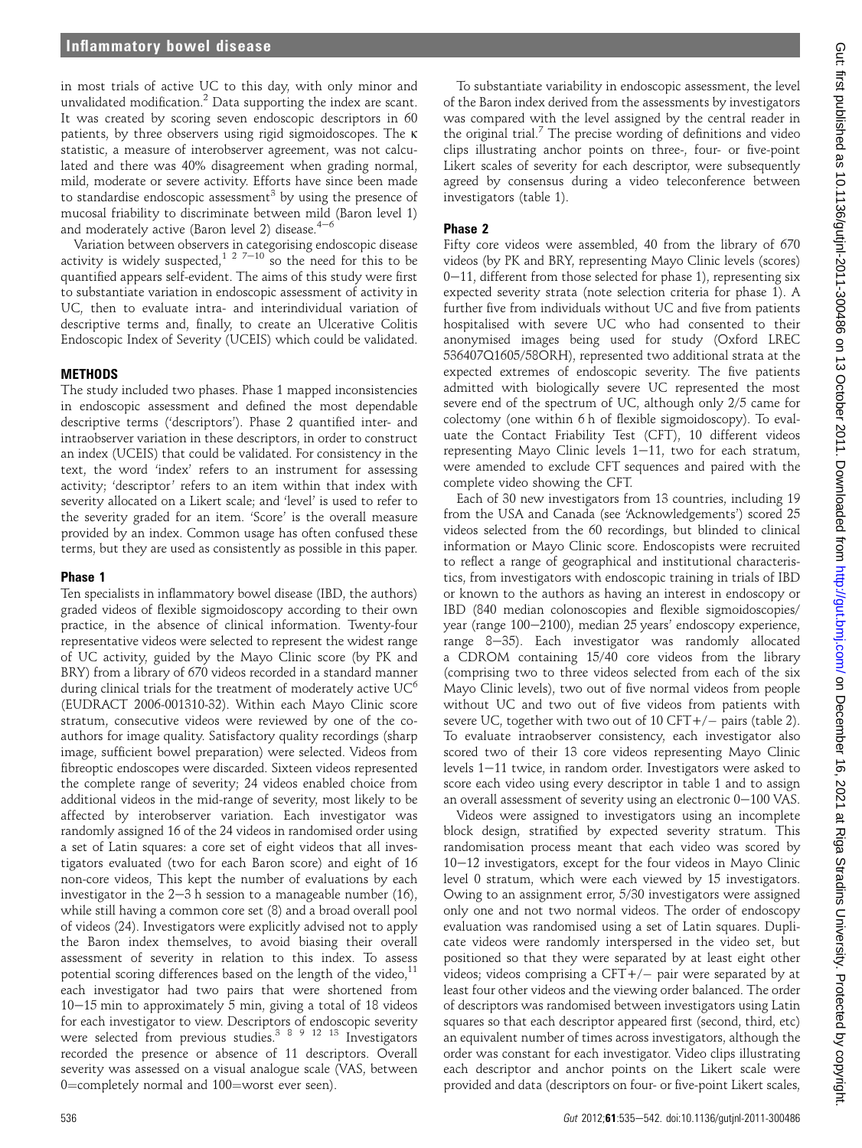in most trials of active UC to this day, with only minor and unvalidated modification.<sup>2</sup> Data supporting the index are scant. It was created by scoring seven endoscopic descriptors in 60 patients, by three observers using rigid sigmoidoscopes. The k statistic, a measure of interobserver agreement, was not calculated and there was 40% disagreement when grading normal, mild, moderate or severe activity. Efforts have since been made to standardise endoscopic assessment<sup>3</sup> by using the presence of mucosal friability to discriminate between mild (Baron level 1) and moderately active (Baron level 2) disease. $4-6$ 

Variation between observers in categorising endoscopic disease variation set ween sostable in each games change and solution is widely suspected,  $1 \t2 \t7 - 10$  so the need for this to be quantified appears self-evident. The aims of this study were first to substantiate variation in endoscopic assessment of activity in UC, then to evaluate intra- and interindividual variation of descriptive terms and, finally, to create an Ulcerative Colitis Endoscopic Index of Severity (UCEIS) which could be validated.

## **METHODS**

The study included two phases. Phase 1 mapped inconsistencies in endoscopic assessment and defined the most dependable descriptive terms ('descriptors'). Phase 2 quantified inter- and intraobserver variation in these descriptors, in order to construct an index (UCEIS) that could be validated. For consistency in the text, the word 'index' refers to an instrument for assessing activity; 'descriptor' refers to an item within that index with severity allocated on a Likert scale; and 'level' is used to refer to the severity graded for an item. 'Score' is the overall measure provided by an index. Common usage has often confused these terms, but they are used as consistently as possible in this paper.

#### Phase 1

Ten specialists in inflammatory bowel disease (IBD, the authors) graded videos of flexible sigmoidoscopy according to their own practice, in the absence of clinical information. Twenty-four representative videos were selected to represent the widest range of UC activity, guided by the Mayo Clinic score (by PK and BRY) from a library of 670 videos recorded in a standard manner during clinical trials for the treatment of moderately active  $UC<sup>6</sup>$ (EUDRACT 2006-001310-32). Within each Mayo Clinic score stratum, consecutive videos were reviewed by one of the coauthors for image quality. Satisfactory quality recordings (sharp image, sufficient bowel preparation) were selected. Videos from fibreoptic endoscopes were discarded. Sixteen videos represented the complete range of severity; 24 videos enabled choice from additional videos in the mid-range of severity, most likely to be affected by interobserver variation. Each investigator was randomly assigned 16 of the 24 videos in randomised order using a set of Latin squares: a core set of eight videos that all investigators evaluated (two for each Baron score) and eight of 16 non-core videos, This kept the number of evaluations by each investigator in the  $2-3$  h session to a manageable number (16), while still having a common core set (8) and a broad overall pool of videos (24). Investigators were explicitly advised not to apply the Baron index themselves, to avoid biasing their overall assessment of severity in relation to this index. To assess potential scoring differences based on the length of the video, $11$ each investigator had two pairs that were shortened from  $10-15$  min to approximately 5 min, giving a total of 18 videos for each investigator to view. Descriptors of endoscopic severity were selected from previous studies.<sup>3 8 9 12 13</sup> Investigators recorded the presence or absence of 11 descriptors. Overall severity was assessed on a visual analogue scale (VAS, between 0=completely normal and  $100$ =worst ever seen).

To substantiate variability in endoscopic assessment, the level of the Baron index derived from the assessments by investigators was compared with the level assigned by the central reader in the original trial.<sup>7</sup> The precise wording of definitions and video clips illustrating anchor points on three-, four- or five-point Likert scales of severity for each descriptor, were subsequently agreed by consensus during a video teleconference between investigators (table 1).

## Phase 2

Fifty core videos were assembled, 40 from the library of 670 videos (by PK and BRY, representing Mayo Clinic levels (scores)  $0-11$ , different from those selected for phase 1), representing six expected severity strata (note selection criteria for phase 1). A further five from individuals without UC and five from patients hospitalised with severe UC who had consented to their anonymised images being used for study (Oxford LREC 536407Q1605/58ORH), represented two additional strata at the expected extremes of endoscopic severity. The five patients admitted with biologically severe UC represented the most severe end of the spectrum of UC, although only 2/5 came for colectomy (one within 6 h of flexible sigmoidoscopy). To evaluate the Contact Friability Test (CFT), 10 different videos representing Mayo Clinic levels  $1-11$ , two for each stratum, were amended to exclude CFT sequences and paired with the complete video showing the CFT.

Each of 30 new investigators from 13 countries, including 19 from the USA and Canada (see 'Acknowledgements') scored 25 videos selected from the 60 recordings, but blinded to clinical information or Mayo Clinic score. Endoscopists were recruited to reflect a range of geographical and institutional characteristics, from investigators with endoscopic training in trials of IBD or known to the authors as having an interest in endoscopy or IBD (840 median colonoscopies and flexible sigmoidoscopies/ year (range 100-2100), median 25 years' endoscopy experience, range 8-35). Each investigator was randomly allocated a CDROM containing 15/40 core videos from the library (comprising two to three videos selected from each of the six Mayo Clinic levels), two out of five normal videos from people without UC and two out of five videos from patients with severe UC, together with two out of 10 CFT+/– pairs (table 2).<br>— To evaluate intraobserver consistency, each investigator also scored two of their 13 core videos representing Mayo Clinic levels  $1-11$  twice, in random order. Investigators were asked to score each video using every descriptor in table 1 and to assign an overall assessment of severity using an electronic  $0-100$  VAS.

Videos were assigned to investigators using an incomplete block design, stratified by expected severity stratum. This randomisation process meant that each video was scored by  $10-12$  investigators, except for the four videos in Mayo Clinic level 0 stratum, which were each viewed by 15 investigators. Owing to an assignment error, 5/30 investigators were assigned only one and not two normal videos. The order of endoscopy evaluation was randomised using a set of Latin squares. Duplicate videos were randomly interspersed in the video set, but positioned so that they were separated by at least eight other videos; videos comprising a CFT+/- pair were separated by at least four other videos and the viewing order balanced. The order of descriptors was randomised between investigators using Latin squares so that each descriptor appeared first (second, third, etc) an equivalent number of times across investigators, although the order was constant for each investigator. Video clips illustrating each descriptor and anchor points on the Likert scale were provided and data (descriptors on four- or five-point Likert scales,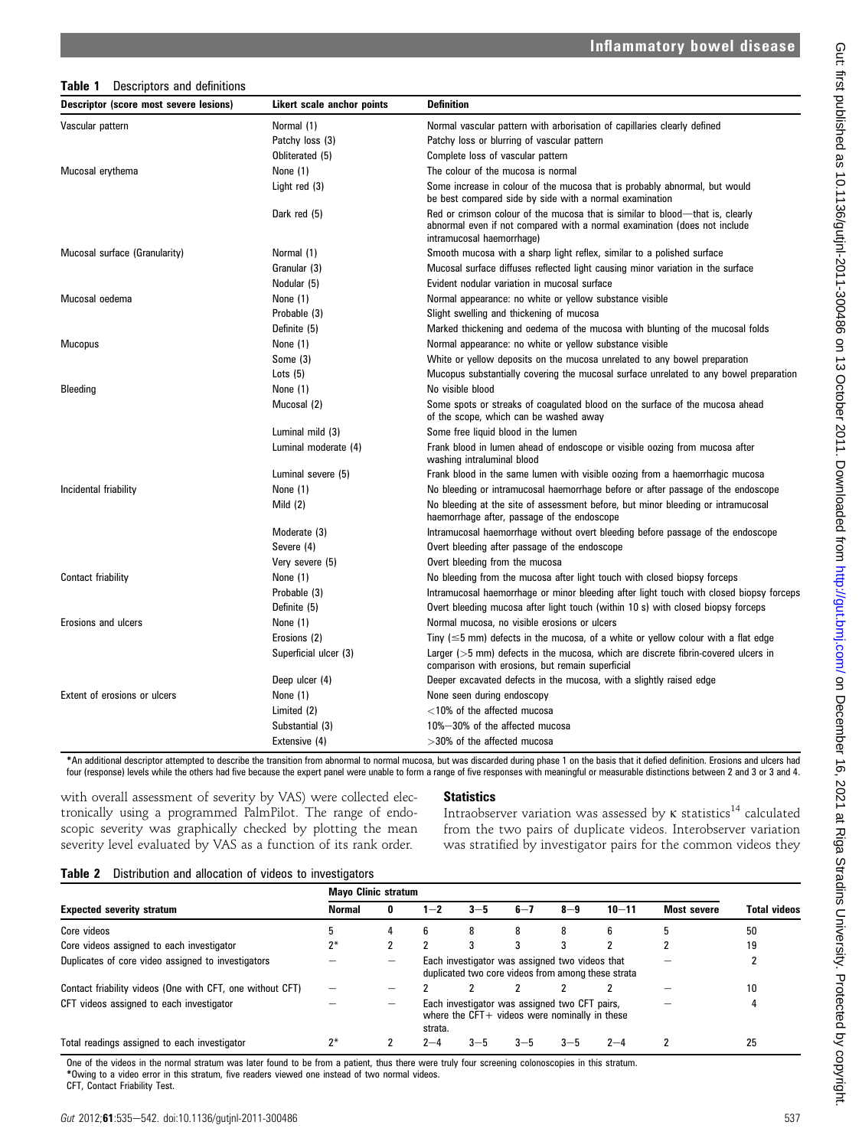### Table 1 Descriptors and definitions

| Descriptor (score most severe lesions) | Likert scale anchor points | <b>Definition</b>                                                                                                                                                                       |
|----------------------------------------|----------------------------|-----------------------------------------------------------------------------------------------------------------------------------------------------------------------------------------|
| Vascular pattern                       | Normal (1)                 | Normal vascular pattern with arborisation of capillaries clearly defined                                                                                                                |
|                                        | Patchy loss (3)            | Patchy loss or blurring of vascular pattern                                                                                                                                             |
|                                        | Obliterated (5)            | Complete loss of vascular pattern                                                                                                                                                       |
| Mucosal erythema                       | None (1)                   | The colour of the mucosa is normal                                                                                                                                                      |
|                                        | Light red (3)              | Some increase in colour of the mucosa that is probably abnormal, but would<br>be best compared side by side with a normal examination                                                   |
|                                        | Dark red (5)               | Red or crimson colour of the mucosa that is similar to blood—that is, clearly<br>abnormal even if not compared with a normal examination (does not include<br>intramucosal haemorrhage) |
| Mucosal surface (Granularity)          | Normal (1)                 | Smooth mucosa with a sharp light reflex, similar to a polished surface                                                                                                                  |
|                                        | Granular (3)               | Mucosal surface diffuses reflected light causing minor variation in the surface                                                                                                         |
|                                        | Nodular (5)                | Evident nodular variation in mucosal surface                                                                                                                                            |
| Mucosal oedema                         | None (1)                   | Normal appearance: no white or yellow substance visible                                                                                                                                 |
|                                        | Probable (3)               | Slight swelling and thickening of mucosa                                                                                                                                                |
|                                        | Definite (5)               | Marked thickening and oedema of the mucosa with blunting of the mucosal folds                                                                                                           |
| <b>Mucopus</b>                         | None (1)                   | Normal appearance: no white or yellow substance visible                                                                                                                                 |
|                                        | Some (3)                   | White or yellow deposits on the mucosa unrelated to any bowel preparation                                                                                                               |
|                                        | Lots $(5)$                 | Mucopus substantially covering the mucosal surface unrelated to any bowel preparation                                                                                                   |
| Bleeding                               | None (1)                   | No visible blood                                                                                                                                                                        |
|                                        | Mucosal (2)                | Some spots or streaks of coagulated blood on the surface of the mucosa ahead<br>of the scope, which can be washed away                                                                  |
|                                        | Luminal mild (3)           | Some free liquid blood in the lumen                                                                                                                                                     |
|                                        | Luminal moderate (4)       | Frank blood in lumen ahead of endoscope or visible oozing from mucosa after<br>washing intraluminal blood                                                                               |
|                                        | Luminal severe (5)         | Frank blood in the same lumen with visible oozing from a haemorrhagic mucosa                                                                                                            |
| Incidental friability                  | None (1)                   | No bleeding or intramucosal haemorrhage before or after passage of the endoscope                                                                                                        |
|                                        | Mild $(2)$                 | No bleeding at the site of assessment before, but minor bleeding or intramucosal<br>haemorrhage after, passage of the endoscope                                                         |
|                                        | Moderate (3)               | Intramucosal haemorrhage without overt bleeding before passage of the endoscope                                                                                                         |
|                                        | Severe (4)                 | Overt bleeding after passage of the endoscope                                                                                                                                           |
|                                        | Very severe (5)            | Overt bleeding from the mucosa                                                                                                                                                          |
| Contact friability                     | None (1)                   | No bleeding from the mucosa after light touch with closed biopsy forceps                                                                                                                |
|                                        | Probable (3)               | Intramucosal haemorrhage or minor bleeding after light touch with closed biopsy forceps                                                                                                 |
|                                        | Definite (5)               | Overt bleeding mucosa after light touch (within 10 s) with closed biopsy forceps                                                                                                        |
| Erosions and ulcers                    | None (1)                   | Normal mucosa, no visible erosions or ulcers                                                                                                                                            |
|                                        | Erosions (2)               | Tiny ( $\leq$ 5 mm) defects in the mucosa, of a white or yellow colour with a flat edge                                                                                                 |
|                                        | Superficial ulcer (3)      | Larger ( $>5$ mm) defects in the mucosa, which are discrete fibrin-covered ulcers in<br>comparison with erosions, but remain superficial                                                |
|                                        | Deep ulcer (4)             | Deeper excavated defects in the mucosa, with a slightly raised edge                                                                                                                     |
| Extent of erosions or ulcers           | None (1)                   | None seen during endoscopy                                                                                                                                                              |
|                                        | Limited (2)                | $<$ 10% of the affected mucosa                                                                                                                                                          |
|                                        | Substantial (3)            | 10%-30% of the affected mucosa                                                                                                                                                          |
|                                        | Extensive (4)              | >30% of the affected mucosa                                                                                                                                                             |

\*An additional descriptor attempted to describe the transition from abnormal to normal mucosa, but was discarded during phase 1 on the basis that it defied definition. Erosions and ulcers had four (response) levels while the others had five because the expert panel were unable to form a range of five responses with meaningful or measurable distinctions between 2 and 3 or 3 and 4.

with overall assessment of severity by VAS) were collected electronically using a programmed PalmPilot. The range of endoscopic severity was graphically checked by plotting the mean severity level evaluated by VAS as a function of its rank order.

## **Statistics**

Intraobserver variation was assessed by  $\kappa$  statistics<sup>14</sup> calculated from the two pairs of duplicate videos. Interobserver variation was stratified by investigator pairs for the common videos they

#### Table 2 Distribution and allocation of videos to investigators

|                                                           | <b>Mayo Clinic stratum</b> |   |         |         |         |                                                                                                      |           |             |              |
|-----------------------------------------------------------|----------------------------|---|---------|---------|---------|------------------------------------------------------------------------------------------------------|-----------|-------------|--------------|
| <b>Expected severity stratum</b>                          | Normal                     | 0 | $1 - 2$ | $3 - 5$ | $6 - 7$ | $8 - 9$                                                                                              | $10 - 11$ | Most severe | Total videos |
| Core videos                                               |                            |   | 6       | 8       | 8       | 8                                                                                                    | h         |             | 50           |
| Core videos assigned to each investigator                 |                            |   |         | 3       |         |                                                                                                      |           |             | 19           |
| Duplicates of core video assigned to investigators        |                            |   |         |         |         | Each investigator was assigned two videos that<br>duplicated two core videos from among these strata |           |             |              |
| Contact friability videos (One with CFT, one without CFT) |                            |   |         |         |         |                                                                                                      |           |             | 10           |
| CFT videos assigned to each investigator                  |                            |   | strata. |         |         | Each investigator was assigned two CFT pairs,<br>where the $CFT+$ videos were nominally in these     |           |             |              |
| Total readings assigned to each investigator              |                            |   | 2—4     | $3 - 5$ | $3 - 5$ | 3—5                                                                                                  | $2 - 4$   |             | 25           |

One of the videos in the normal stratum was later found to be from a patient, thus there were truly four screening colonoscopies in this stratum. \*Owing to a video error in this stratum, five readers viewed one instead of two normal videos.

CFT, Contact Friability Test.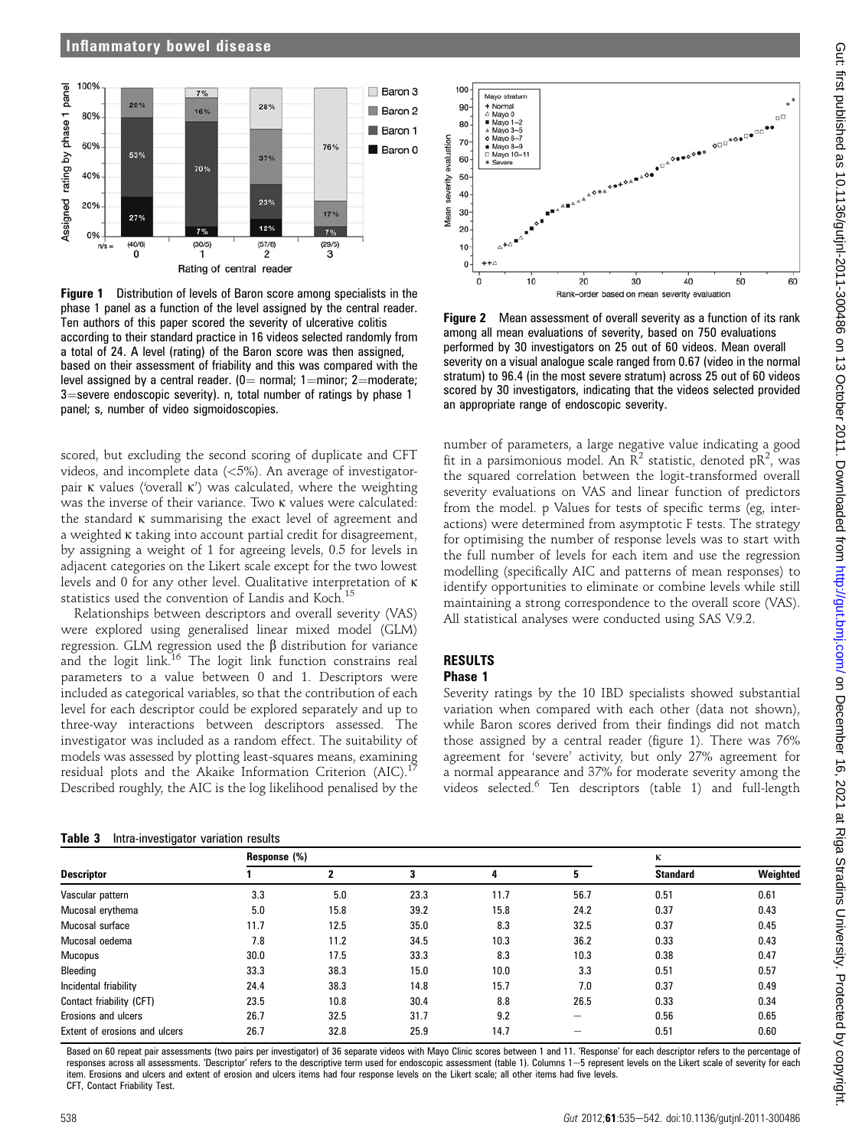### Inflammatory bowel disease



Figure 1 Distribution of levels of Baron score among specialists in the phase 1 panel as a function of the level assigned by the central reader. Ten authors of this paper scored the severity of ulcerative colitis according to their standard practice in 16 videos selected randomly from a total of 24. A level (rating) of the Baron score was then assigned, based on their assessment of friability and this was compared with the level assigned by a central reader. ( $0=$  normal; 1 $=$ minor; 2 $=$ moderate;  $3$ =severe endoscopic severity). n, total number of ratings by phase 1 panel; s, number of video sigmoidoscopies.

scored, but excluding the second scoring of duplicate and CFT videos, and incomplete data (<5%). An average of investigatorpair K values ('overall K') was calculated, where the weighting was the inverse of their variance. Two  $\kappa$  values were calculated: the standard k summarising the exact level of agreement and a weighted k taking into account partial credit for disagreement, by assigning a weight of 1 for agreeing levels, 0.5 for levels in adjacent categories on the Likert scale except for the two lowest levels and 0 for any other level. Qualitative interpretation of k statistics used the convention of Landis and Koch.<sup>15</sup>

Relationships between descriptors and overall severity (VAS) were explored using generalised linear mixed model (GLM) regression. GLM regression used the  $\beta$  distribution for variance and the logit link.<sup>16</sup> The logit link function constrains real parameters to a value between 0 and 1. Descriptors were included as categorical variables, so that the contribution of each level for each descriptor could be explored separately and up to three-way interactions between descriptors assessed. The investigator was included as a random effect. The suitability of models was assessed by plotting least-squares means, examining residual plots and the Akaike Information Criterion (AIC). Described roughly, the AIC is the log likelihood penalised by the

#### Table 3 Intra-investigator variation results



Figure 2 Mean assessment of overall severity as a function of its rank among all mean evaluations of severity, based on 750 evaluations performed by 30 investigators on 25 out of 60 videos. Mean overall severity on a visual analogue scale ranged from 0.67 (video in the normal stratum) to 96.4 (in the most severe stratum) across 25 out of 60 videos scored by 30 investigators, indicating that the videos selected provided an appropriate range of endoscopic severity.

number of parameters, a large negative value indicating a good fit in a parsimonious model. An  $\mathbb{R}^2$  statistic, denoted p $\mathbb{R}^2$ , was the squared correlation between the logit-transformed overall severity evaluations on VAS and linear function of predictors from the model. p Values for tests of specific terms (eg, interactions) were determined from asymptotic F tests. The strategy for optimising the number of response levels was to start with the full number of levels for each item and use the regression modelling (specifically AIC and patterns of mean responses) to identify opportunities to eliminate or combine levels while still maintaining a strong correspondence to the overall score (VAS). All statistical analyses were conducted using SAS V.9.2.

# RESULTS

# Phase 1

Severity ratings by the 10 IBD specialists showed substantial variation when compared with each other (data not shown), while Baron scores derived from their findings did not match those assigned by a central reader (figure 1). There was 76% agreement for 'severe' activity, but only 27% agreement for a normal appearance and 37% for moderate severity among the videos selected.<sup>6</sup> Ten descriptors (table 1) and full-length

|                               | Response (%) |      | К    |      |                          |                 |          |
|-------------------------------|--------------|------|------|------|--------------------------|-----------------|----------|
| <b>Descriptor</b>             |              |      | 3    | 4    | 5                        | <b>Standard</b> | Weighted |
| Vascular pattern              | 3.3          | 5.0  | 23.3 | 11.7 | 56.7                     | 0.51            | 0.61     |
| Mucosal erythema              | 5.0          | 15.8 | 39.2 | 15.8 | 24.2                     | 0.37            | 0.43     |
| Mucosal surface               | 11.7         | 12.5 | 35.0 | 8.3  | 32.5                     | 0.37            | 0.45     |
| Mucosal oedema                | 7.8          | 11.2 | 34.5 | 10.3 | 36.2                     | 0.33            | 0.43     |
| <b>Mucopus</b>                | 30.0         | 17.5 | 33.3 | 8.3  | 10.3                     | 0.38            | 0.47     |
| Bleeding                      | 33.3         | 38.3 | 15.0 | 10.0 | 3.3                      | 0.51            | 0.57     |
| Incidental friability         | 24.4         | 38.3 | 14.8 | 15.7 | 7.0                      | 0.37            | 0.49     |
| Contact friability (CFT)      | 23.5         | 10.8 | 30.4 | 8.8  | 26.5                     | 0.33            | 0.34     |
| Erosions and ulcers           | 26.7         | 32.5 | 31.7 | 9.2  | $\overline{\phantom{0}}$ | 0.56            | 0.65     |
| Extent of erosions and ulcers | 26.7         | 32.8 | 25.9 | 14.7 |                          | 0.51            | 0.60     |

Based on 60 repeat pair assessments (two pairs per investigator) of 36 separate videos with Mayo Clinic scores between 1 and 11. 'Response' for each descriptor refers to the percentage of responses across all assessments. 'Descriptor' refers to the descriptive term used for endoscopic assessment (table 1). Columns 1-5 represent levels on the Likert scale of severity for each item. Erosions and ulcers and extent of erosion and ulcers items had four response levels on the Likert scale; all other items had five levels. CFT, Contact Friability Test.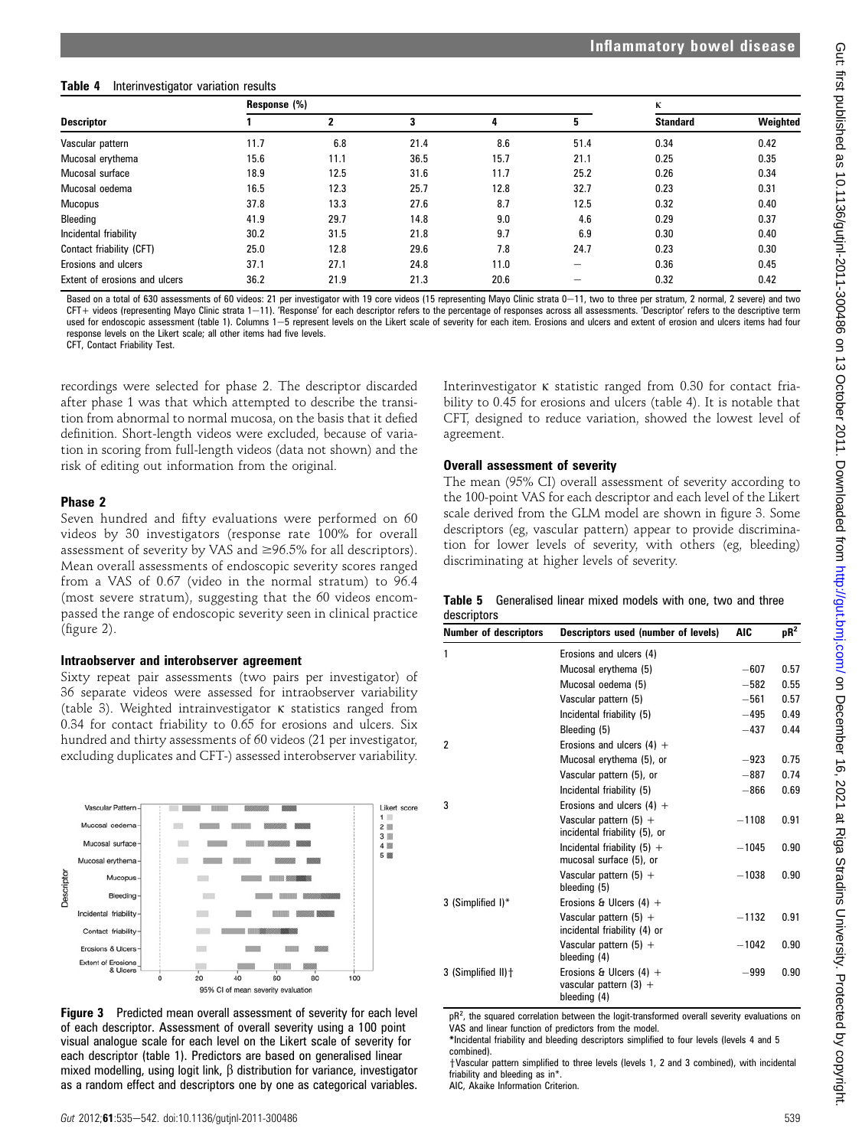# Table 4 Interinvestigator variation results

|                               | Response (%) |      | κ    |      |                          |                 |          |
|-------------------------------|--------------|------|------|------|--------------------------|-----------------|----------|
| Descriptor                    |              |      | 3    | 4    | 5                        | <b>Standard</b> | Weighted |
| Vascular pattern              | 11.7         | 6.8  | 21.4 | 8.6  | 51.4                     | 0.34            | 0.42     |
| Mucosal erythema              | 15.6         | 11.1 | 36.5 | 15.7 | 21.1                     | 0.25            | 0.35     |
| Mucosal surface               | 18.9         | 12.5 | 31.6 | 11.7 | 25.2                     | 0.26            | 0.34     |
| Mucosal oedema                | 16.5         | 12.3 | 25.7 | 12.8 | 32.7                     | 0.23            | 0.31     |
| Mucopus                       | 37.8         | 13.3 | 27.6 | 8.7  | 12.5                     | 0.32            | 0.40     |
| Bleeding                      | 41.9         | 29.7 | 14.8 | 9.0  | 4.6                      | 0.29            | 0.37     |
| Incidental friability         | 30.2         | 31.5 | 21.8 | 9.7  | 6.9                      | 0.30            | 0.40     |
| Contact friability (CFT)      | 25.0         | 12.8 | 29.6 | 7.8  | 24.7                     | 0.23            | 0.30     |
| Erosions and ulcers           | 37.1         | 27.1 | 24.8 | 11.0 | $\overline{\phantom{0}}$ | 0.36            | 0.45     |
| Extent of erosions and ulcers | 36.2         | 21.9 | 21.3 | 20.6 |                          | 0.32            | 0.42     |

Based on a total of 630 assessments of 60 videos: 21 per investigator with 19 core videos (15 representing Mayo Clinic strata 0-11, two to three per stratum, 2 normal, 2 severe) and two CFT+ videos (representing Mayo Clinic strata 1-11). 'Response' for each descriptor refers to the percentage of responses across all assessments. 'Descriptor' refers to the descriptive term used for endoscopic assessment (table 1). Columns 1–5 represent levels on the Likert scale of severity for each item. Erosions and ulcers and extent of erosion and ulcers items had four response levels on the Likert scale; all other items had five levels.

CFT, Contact Friability Test.

recordings were selected for phase 2. The descriptor discarded after phase 1 was that which attempted to describe the transition from abnormal to normal mucosa, on the basis that it defied definition. Short-length videos were excluded, because of variation in scoring from full-length videos (data not shown) and the risk of editing out information from the original.

## Phase 2

Seven hundred and fifty evaluations were performed on 60 videos by 30 investigators (response rate 100% for overall assessment of severity by VAS and  $\geq$ 96.5% for all descriptors). Mean overall assessments of endoscopic severity scores ranged from a VAS of 0.67 (video in the normal stratum) to 96.4 (most severe stratum), suggesting that the 60 videos encompassed the range of endoscopic severity seen in clinical practice (figure 2).

#### Intraobserver and interobserver agreement

Sixty repeat pair assessments (two pairs per investigator) of 36 separate videos were assessed for intraobserver variability (table 3). Weighted intrainvestigator  $\kappa$  statistics ranged from 0.34 for contact friability to 0.65 for erosions and ulcers. Six hundred and thirty assessments of 60 videos (21 per investigator, excluding duplicates and CFT-) assessed interobserver variability.





Interinvestigator  $\kappa$  statistic ranged from 0.30 for contact friability to 0.45 for erosions and ulcers (table 4). It is notable that CFT, designed to reduce variation, showed the lowest level of agreement.

## Overall assessment of severity

The mean (95% CI) overall assessment of severity according to the 100-point VAS for each descriptor and each level of the Likert scale derived from the GLM model are shown in figure 3. Some descriptors (eg, vascular pattern) appear to provide discrimination for lower levels of severity, with others (eg, bleeding) discriminating at higher levels of severity.

|             | <b>Table 5</b> Generalised linear mixed models with one, two and three |  |  |  |  |
|-------------|------------------------------------------------------------------------|--|--|--|--|
| descriptors |                                                                        |  |  |  |  |

|                                                                       |                                                         | $pR^2$    |
|-----------------------------------------------------------------------|---------------------------------------------------------|-----------|
| Erosions and ulcers (4)                                               |                                                         |           |
| Mucosal erythema (5)                                                  | $-607$                                                  | 0.57      |
| Mucosal oedema (5)                                                    | $-582$                                                  | 0.55      |
| Vascular pattern (5)                                                  | $-561$                                                  | 0.57      |
| Incidental friability (5)                                             | $-495$                                                  | 0.49      |
| Bleeding (5)                                                          | $-437$                                                  | 0.44      |
| Erosions and ulcers $(4)$ +                                           |                                                         |           |
| Mucosal erythema (5), or                                              | $-923$                                                  | 0.75      |
| Vascular pattern (5), or                                              | $-887$                                                  | 0.74      |
| Incidental friability (5)                                             | $-866$                                                  | 0.69      |
| Erosions and ulcers $(4)$ +                                           |                                                         |           |
| Vascular pattern $(5)$ +<br>incidental friability (5), or             | $-1108$                                                 | 0.91      |
| Incidental friability $(5) +$<br>mucosal surface (5), or              | $-1045$                                                 | 0.90      |
| Vascular pattern $(5)$ +<br>bleeding (5)                              | $-1038$                                                 | 0.90      |
| Erosions & Ulcers $(4)$ +                                             |                                                         |           |
| Vascular pattern $(5)$ +<br>incidental friability (4) or              | $-1132$                                                 | 0.91      |
| Vascular pattern $(5)$ +<br>bleeding (4)                              | $-1042$                                                 | 0.90      |
| Erosions & Ulcers $(4)$ +<br>vascular pattern $(3)$ +<br>bleeding (4) | $-999$                                                  | 0.90      |
|                                                                       | $\cdots$<br>.<br>$\epsilon$<br>$\mathbf{r}$<br>$\cdots$ | $\ddotsc$ |

 $pR<sup>2</sup>$ , the squared correlation between the logit-transformed overall severity evaluations on VAS and linear function of predictors from the model. \*Incidental friability and bleeding descriptors simplified to four levels (levels 4 and 5

combined). †Vascular pattern simplified to three levels (levels 1, 2 and 3 combined), with incidental

friability and bleeding as in\*

AIC, Akaike Information Criterion.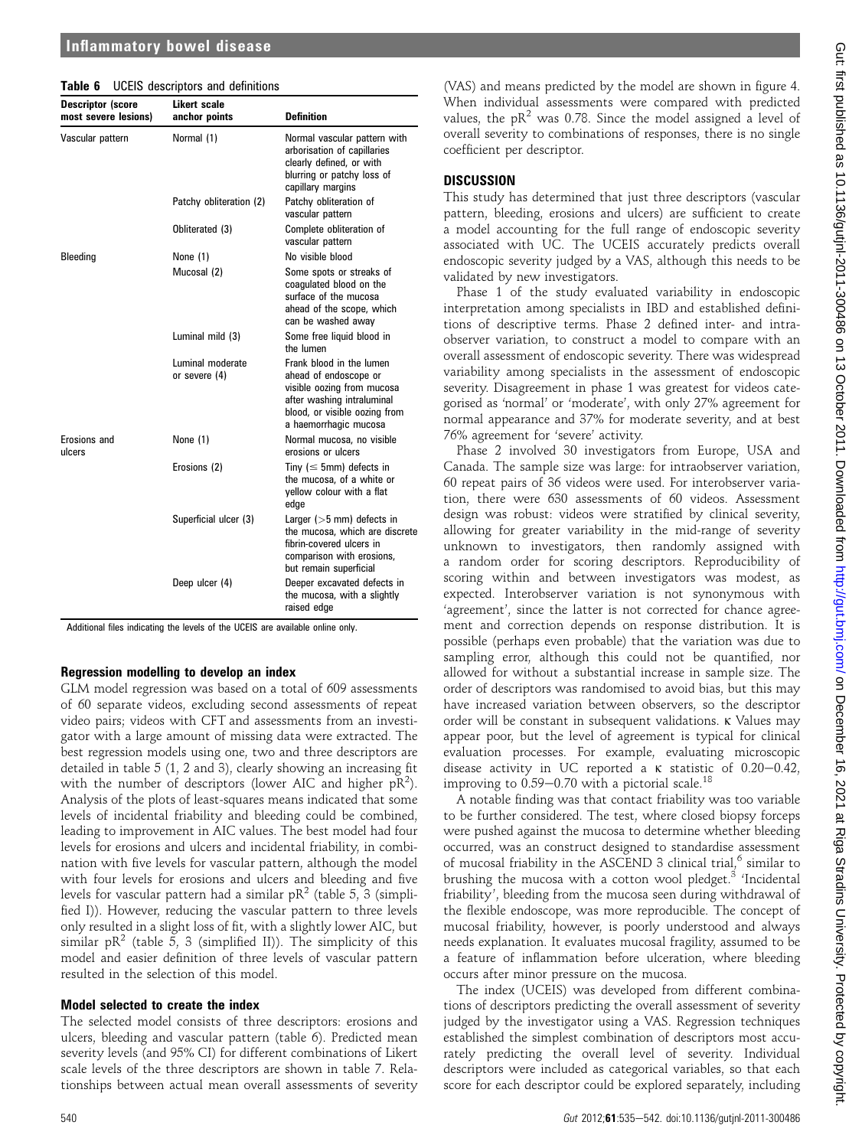## Inflammatory bowel disease

| Table 6 |  | <b>UCEIS</b> descriptors and definitions |  |  |
|---------|--|------------------------------------------|--|--|
|---------|--|------------------------------------------|--|--|

| <b>Descriptor (score</b><br>most severe lesions) | <b>Likert scale</b><br>anchor points | <b>Definition</b>                                                                                                                                                       |
|--------------------------------------------------|--------------------------------------|-------------------------------------------------------------------------------------------------------------------------------------------------------------------------|
| Vascular pattern                                 | Normal (1)                           | Normal vascular pattern with<br>arborisation of capillaries<br>clearly defined, or with<br>blurring or patchy loss of<br>capillary margins                              |
|                                                  | Patchy obliteration (2)              | Patchy obliteration of<br>vascular pattern                                                                                                                              |
|                                                  | Obliterated (3)                      | Complete obliteration of<br>vascular pattern                                                                                                                            |
| Bleeding                                         | None (1)                             | No visible blood                                                                                                                                                        |
|                                                  | Mucosal (2)                          | Some spots or streaks of<br>coagulated blood on the<br>surface of the mucosa<br>ahead of the scope, which<br>can be washed away                                         |
|                                                  | Luminal mild (3)                     | Some free liquid blood in<br>the lumen                                                                                                                                  |
|                                                  | Luminal moderate<br>or severe $(4)$  | Frank blood in the lumen<br>ahead of endoscope or<br>visible oozing from mucosa<br>after washing intraluminal<br>blood, or visible oozing from<br>a haemorrhagic mucosa |
| Erosions and<br>ulcers                           | None (1)                             | Normal mucosa, no visible<br>erosions or ulcers                                                                                                                         |
|                                                  | Erosions (2)                         | Tiny ( $\leq$ 5mm) defects in<br>the mucosa, of a white or<br>yellow colour with a flat<br>edge                                                                         |
|                                                  | Superficial ulcer (3)                | Larger $(>5$ mm) defects in<br>the mucosa, which are discrete<br>fibrin-covered ulcers in<br>comparison with erosions,<br>but remain superficial                        |
|                                                  | Deep ulcer (4)                       | Deeper excavated defects in<br>the mucosa, with a slightly<br>raised edge                                                                                               |

Additional files indicating the levels of the UCEIS are available online only.

#### Regression modelling to develop an index

GLM model regression was based on a total of 609 assessments of 60 separate videos, excluding second assessments of repeat video pairs; videos with CFT and assessments from an investigator with a large amount of missing data were extracted. The best regression models using one, two and three descriptors are detailed in table 5 (1, 2 and 3), clearly showing an increasing fit with the number of descriptors (lower AIC and higher  $pR^2$ ). Analysis of the plots of least-squares means indicated that some levels of incidental friability and bleeding could be combined, leading to improvement in AIC values. The best model had four levels for erosions and ulcers and incidental friability, in combination with five levels for vascular pattern, although the model with four levels for erosions and ulcers and bleeding and five levels for vascular pattern had a similar  $pR^2$  (table 5, 3 (simplified I)). However, reducing the vascular pattern to three levels only resulted in a slight loss of fit, with a slightly lower AIC, but similar  $pR^2$  (table 5, 3 (simplified II)). The simplicity of this model and easier definition of three levels of vascular pattern resulted in the selection of this model.

#### Model selected to create the index

The selected model consists of three descriptors: erosions and ulcers, bleeding and vascular pattern (table 6). Predicted mean severity levels (and 95% CI) for different combinations of Likert scale levels of the three descriptors are shown in table 7. Relationships between actual mean overall assessments of severity

(VAS) and means predicted by the model are shown in figure 4. When individual assessments were compared with predicted values, the  $pR^2$  was 0.78. Since the model assigned a level of overall severity to combinations of responses, there is no single coefficient per descriptor.

#### **DISCUSSION**

This study has determined that just three descriptors (vascular pattern, bleeding, erosions and ulcers) are sufficient to create a model accounting for the full range of endoscopic severity associated with UC. The UCEIS accurately predicts overall endoscopic severity judged by a VAS, although this needs to be validated by new investigators.

Phase 1 of the study evaluated variability in endoscopic interpretation among specialists in IBD and established definitions of descriptive terms. Phase 2 defined inter- and intraobserver variation, to construct a model to compare with an overall assessment of endoscopic severity. There was widespread variability among specialists in the assessment of endoscopic severity. Disagreement in phase 1 was greatest for videos categorised as 'normal' or 'moderate', with only 27% agreement for normal appearance and 37% for moderate severity, and at best 76% agreement for 'severe' activity.

Phase 2 involved 30 investigators from Europe, USA and Canada. The sample size was large: for intraobserver variation, 60 repeat pairs of 36 videos were used. For interobserver variation, there were 630 assessments of 60 videos. Assessment design was robust: videos were stratified by clinical severity, allowing for greater variability in the mid-range of severity unknown to investigators, then randomly assigned with a random order for scoring descriptors. Reproducibility of scoring within and between investigators was modest, as expected. Interobserver variation is not synonymous with 'agreement', since the latter is not corrected for chance agreement and correction depends on response distribution. It is possible (perhaps even probable) that the variation was due to sampling error, although this could not be quantified, nor allowed for without a substantial increase in sample size. The order of descriptors was randomised to avoid bias, but this may have increased variation between observers, so the descriptor order will be constant in subsequent validations. k Values may appear poor, but the level of agreement is typical for clinical evaluation processes. For example, evaluating microscopic disease activity in UC reported a  $\kappa$  statistic of 0.20-0.42, improving to  $0.59-0.70$  with a pictorial scale.<sup>18</sup>

A notable finding was that contact friability was too variable to be further considered. The test, where closed biopsy forceps were pushed against the mucosa to determine whether bleeding occurred, was an construct designed to standardise assessment of mucosal friability in the ASCEND 3 clinical trial,<sup>6</sup> similar to brushing the mucosa with a cotton wool pledget. $3$  'Incidental friability', bleeding from the mucosa seen during withdrawal of the flexible endoscope, was more reproducible. The concept of mucosal friability, however, is poorly understood and always needs explanation. It evaluates mucosal fragility, assumed to be a feature of inflammation before ulceration, where bleeding occurs after minor pressure on the mucosa.

The index (UCEIS) was developed from different combinations of descriptors predicting the overall assessment of severity judged by the investigator using a VAS. Regression techniques established the simplest combination of descriptors most accurately predicting the overall level of severity. Individual descriptors were included as categorical variables, so that each score for each descriptor could be explored separately, including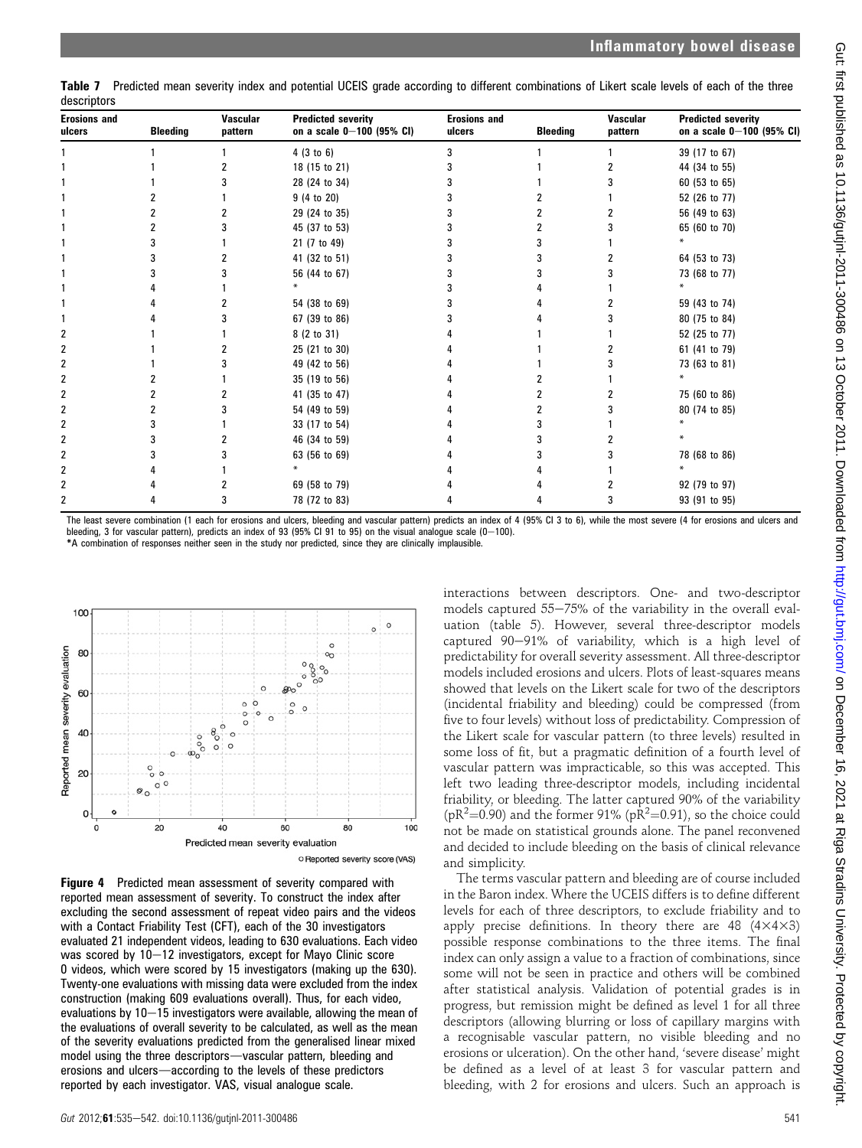Table 7 Predicted mean severity index and potential UCEIS grade according to different combinations of Likert scale levels of each of the three descriptors

| <b>Erosions and</b><br>ulcers | <b>Bleeding</b> | <b>Vascular</b><br>pattern | <b>Predicted severity</b><br>on a scale $0-100$ (95% CI) | <b>Erosions and</b><br>ulcers | <b>Bleeding</b> | <b>Vascular</b><br>pattern | <b>Predicted severity</b><br>on a scale 0-100 (95% CI) |
|-------------------------------|-----------------|----------------------------|----------------------------------------------------------|-------------------------------|-----------------|----------------------------|--------------------------------------------------------|
|                               |                 |                            | 4(3 to 6)                                                | 3                             |                 |                            | 39 (17 to 67)                                          |
|                               |                 |                            | 18 (15 to 21)                                            |                               |                 |                            | 44 (34 to 55)                                          |
|                               |                 |                            | 28 (24 to 34)                                            |                               |                 |                            | 60 (53 to 65)                                          |
|                               |                 |                            | 9 (4 to 20)                                              |                               |                 |                            | 52 (26 to 77)                                          |
|                               |                 |                            | 29 (24 to 35)                                            |                               |                 |                            | 56 (49 to 63)                                          |
|                               |                 |                            | 45 (37 to 53)                                            |                               |                 |                            | 65 (60 to 70)                                          |
|                               |                 |                            | 21 (7 to 49)                                             |                               |                 |                            |                                                        |
|                               |                 |                            | 41 (32 to 51)                                            |                               |                 |                            | 64 (53 to 73)                                          |
|                               |                 |                            | 56 (44 to 67)                                            |                               |                 |                            | 73 (68 to 77)                                          |
|                               |                 |                            |                                                          |                               |                 |                            | ¥                                                      |
|                               |                 |                            | 54 (38 to 69)                                            |                               |                 |                            | 59 (43 to 74)                                          |
|                               |                 |                            | 67 (39 to 86)                                            |                               |                 |                            | 80 (75 to 84)                                          |
| 2                             |                 |                            | 8 (2 to 31)                                              |                               |                 |                            | 52 (25 to 77)                                          |
|                               |                 |                            | 25 (21 to 30)                                            |                               |                 |                            | 61 (41 to 79)                                          |
| 2                             |                 |                            | 49 (42 to 56)                                            |                               |                 |                            | 73 (63 to 81)                                          |
| 2                             |                 |                            | 35 (19 to 56)                                            |                               |                 |                            |                                                        |
| 2                             |                 |                            | 41 (35 to 47)                                            |                               |                 |                            | 75 (60 to 86)                                          |
| 2                             |                 |                            | 54 (49 to 59)                                            |                               |                 |                            | 80 (74 to 85)                                          |
| 2                             |                 |                            | 33 (17 to 54)                                            |                               |                 |                            |                                                        |
| 2                             |                 |                            | 46 (34 to 59)                                            |                               |                 |                            |                                                        |
| 2                             |                 |                            | 63 (56 to 69)                                            |                               |                 |                            | 78 (68 to 86)                                          |
| 2                             |                 |                            |                                                          |                               |                 |                            |                                                        |
| 2                             |                 |                            | 69 (58 to 79)                                            |                               |                 |                            | 92 (79 to 97)                                          |
|                               |                 |                            | 78 (72 to 83)                                            |                               |                 |                            | 93 (91 to 95)                                          |

The least severe combination (1 each for erosions and ulcers, bleeding and vascular pattern) predicts an index of 4 (95% CI 3 to 6), while the most severe (4 for erosions and ulcers and bleeding, 3 for vascular pattern), predicts an index of 93 (95% CI 91 to 95) on the visual analogue scale  $(0-100)$ . \*A combination of responses neither seen in the study nor predicted, since they are clinically implausible.



Figure 4 Predicted mean assessment of severity compared with reported mean assessment of severity. To construct the index after excluding the second assessment of repeat video pairs and the videos with a Contact Friability Test (CFT), each of the 30 investigators evaluated 21 independent videos, leading to 630 evaluations. Each video was scored by  $10-12$  investigators, except for Mayo Clinic score 0 videos, which were scored by 15 investigators (making up the 630). Twenty-one evaluations with missing data were excluded from the index construction (making 609 evaluations overall). Thus, for each video, evaluations by  $10-15$  investigators were available, allowing the mean of the evaluations of overall severity to be calculated, as well as the mean of the severity evaluations predicted from the generalised linear mixed model using the three descriptors-vascular pattern, bleeding and erosions and ulcers—according to the levels of these predictors reported by each investigator. VAS, visual analogue scale.

interactions between descriptors. One- and two-descriptor models captured  $55-75%$  of the variability in the overall evaluation (table 5). However, several three-descriptor models captured 90-91% of variability, which is a high level of predictability for overall severity assessment. All three-descriptor models included erosions and ulcers. Plots of least-squares means showed that levels on the Likert scale for two of the descriptors (incidental friability and bleeding) could be compressed (from five to four levels) without loss of predictability. Compression of the Likert scale for vascular pattern (to three levels) resulted in some loss of fit, but a pragmatic definition of a fourth level of vascular pattern was impracticable, so this was accepted. This left two leading three-descriptor models, including incidental friability, or bleeding. The latter captured 90% of the variability ( $pR^2$ =0.90) and the former 91% ( $pR^2$ =0.91), so the choice could not be made on statistical grounds alone. The panel reconvened and decided to include bleeding on the basis of clinical relevance and simplicity.

The terms vascular pattern and bleeding are of course included in the Baron index. Where the UCEIS differs is to define different levels for each of three descriptors, to exclude friability and to apply precise definitions. In theory there are 48  $(4 \times 4 \times 3)$ possible response combinations to the three items. The final index can only assign a value to a fraction of combinations, since some will not be seen in practice and others will be combined after statistical analysis. Validation of potential grades is in progress, but remission might be defined as level 1 for all three descriptors (allowing blurring or loss of capillary margins with a recognisable vascular pattern, no visible bleeding and no erosions or ulceration). On the other hand, 'severe disease' might be defined as a level of at least 3 for vascular pattern and bleeding, with 2 for erosions and ulcers. Such an approach is